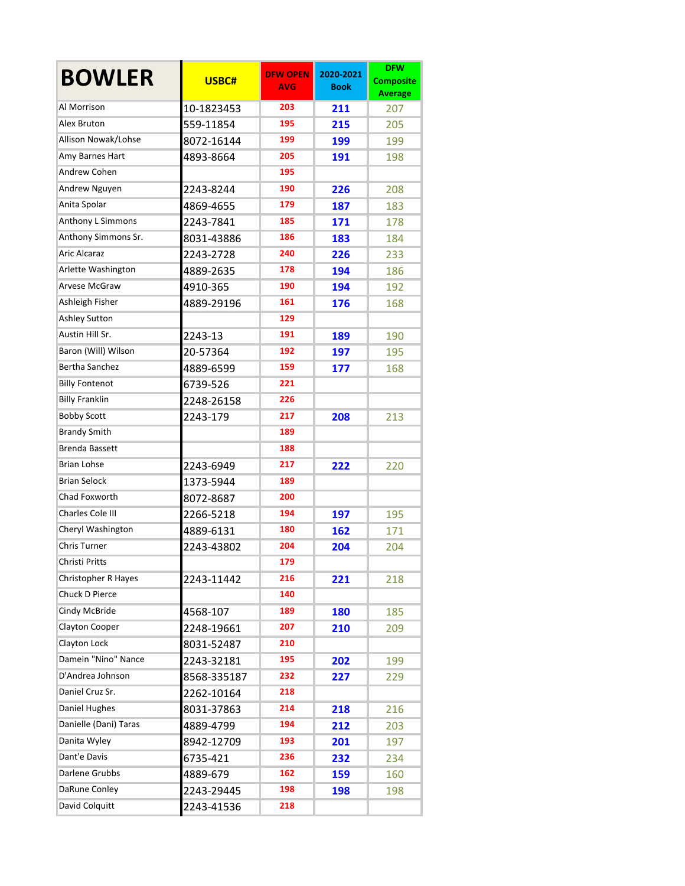| <b>BOWLER</b>           | USBC#       | <b>DFW OPEN</b><br><b>AVG</b> | 2020-2021<br><b>Book</b> | <b>DFW</b><br><b>Composite</b><br><b>Average</b> |
|-------------------------|-------------|-------------------------------|--------------------------|--------------------------------------------------|
| Al Morrison             | 10-1823453  | 203                           | 211                      | 207                                              |
| Alex Bruton             | 559-11854   | 195                           | 215                      | 205                                              |
| Allison Nowak/Lohse     | 8072-16144  | 199                           | 199                      | 199                                              |
| Amy Barnes Hart         | 4893-8664   | 205                           | 191                      | 198                                              |
| Andrew Cohen            |             | 195                           |                          |                                                  |
| <b>Andrew Nguyen</b>    | 2243-8244   | 190                           | 226                      | 208                                              |
| Anita Spolar            | 4869-4655   | 179                           | 187                      | 183                                              |
| Anthony L Simmons       | 2243-7841   | 185                           | 171                      | 178                                              |
| Anthony Simmons Sr.     | 8031-43886  | 186                           | 183                      | 184                                              |
| <b>Aric Alcaraz</b>     | 2243-2728   | 240                           | 226                      | 233                                              |
| Arlette Washington      | 4889-2635   | 178                           | 194                      | 186                                              |
| Arvese McGraw           | 4910-365    | 190                           | 194                      | 192                                              |
| Ashleigh Fisher         | 4889-29196  | 161                           | 176                      | 168                                              |
| <b>Ashley Sutton</b>    |             | 129                           |                          |                                                  |
| Austin Hill Sr.         | 2243-13     | 191                           | 189                      | 190                                              |
| Baron (Will) Wilson     | 20-57364    | 192                           | 197                      | 195                                              |
| <b>Bertha Sanchez</b>   | 4889-6599   | 159                           | 177                      | 168                                              |
| <b>Billy Fontenot</b>   | 6739-526    | 221                           |                          |                                                  |
| <b>Billy Franklin</b>   | 2248-26158  | 226                           |                          |                                                  |
| <b>Bobby Scott</b>      | 2243-179    | 217                           | 208                      | 213                                              |
| <b>Brandy Smith</b>     |             | 189                           |                          |                                                  |
| <b>Brenda Bassett</b>   |             | 188                           |                          |                                                  |
| <b>Brian Lohse</b>      | 2243-6949   | 217                           | 222                      | 220                                              |
| <b>Brian Selock</b>     | 1373-5944   | 189                           |                          |                                                  |
| Chad Foxworth           | 8072-8687   | 200                           |                          |                                                  |
| <b>Charles Cole III</b> | 2266-5218   | 194                           | 197                      | 195                                              |
| Cheryl Washington       | 4889-6131   | 180                           | 162                      | 171                                              |
| <b>Chris Turner</b>     | 2243-43802  | 204                           | 204                      | 204                                              |
| Christi Pritts          |             | 179                           |                          |                                                  |
| Christopher R Hayes     | 2243-11442  | 216                           | 221                      | 218                                              |
| Chuck D Pierce          |             | 140                           |                          |                                                  |
| Cindy McBride           | 4568-107    | 189                           | 180                      | 185                                              |
| Clayton Cooper          | 2248-19661  | 207                           | 210                      | 209                                              |
| Clayton Lock            | 8031-52487  | 210                           |                          |                                                  |
| Damein "Nino" Nance     | 2243-32181  | 195                           | 202                      | 199                                              |
| D'Andrea Johnson        | 8568-335187 | 232                           | 227                      | 229                                              |
| Daniel Cruz Sr.         | 2262-10164  | 218                           |                          |                                                  |
| Daniel Hughes           | 8031-37863  | 214                           | 218                      | 216                                              |
| Danielle (Dani) Taras   | 4889-4799   | 194                           | 212                      | 203                                              |
| Danita Wyley            | 8942-12709  | 193                           | 201                      | 197                                              |
| Dant'e Davis            | 6735-421    | 236                           | 232                      | 234                                              |
| Darlene Grubbs          | 4889-679    | 162                           | 159                      | 160                                              |
| <b>DaRune Conley</b>    | 2243-29445  | 198                           | 198                      | 198                                              |
| David Colquitt          | 2243-41536  | 218                           |                          |                                                  |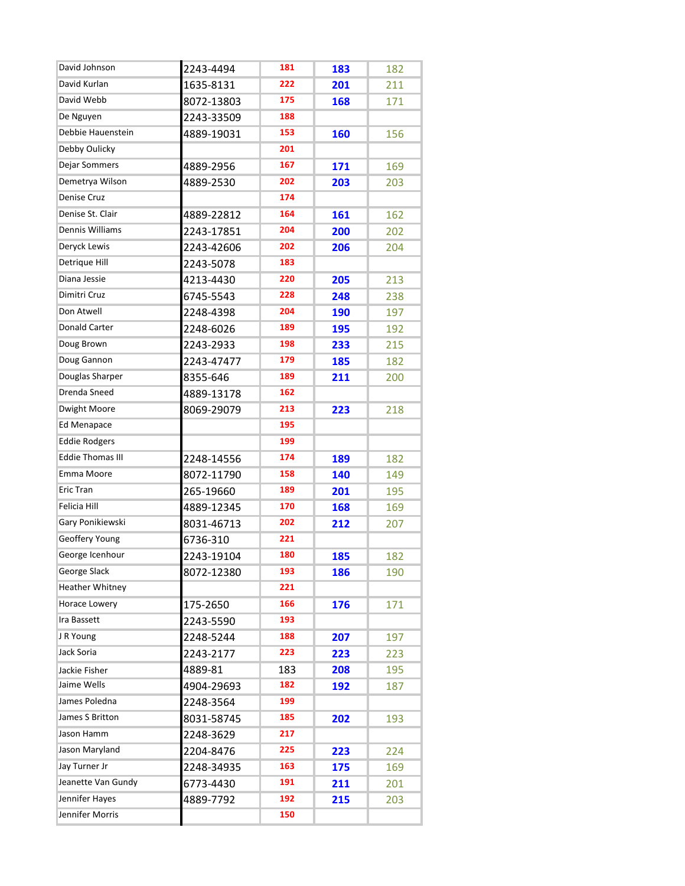| David Johnson           | 2243-4494  | 181 | 183 | 182 |
|-------------------------|------------|-----|-----|-----|
| David Kurlan            | 1635-8131  | 222 | 201 | 211 |
| David Webb              | 8072-13803 | 175 | 168 | 171 |
| De Nguyen               | 2243-33509 | 188 |     |     |
| Debbie Hauenstein       | 4889-19031 | 153 | 160 | 156 |
| Debby Oulicky           |            | 201 |     |     |
| Dejar Sommers           | 4889-2956  | 167 | 171 | 169 |
| Demetrya Wilson         | 4889-2530  | 202 | 203 | 203 |
| <b>Denise Cruz</b>      |            | 174 |     |     |
| Denise St. Clair        | 4889-22812 | 164 | 161 | 162 |
| Dennis Williams         | 2243-17851 | 204 | 200 | 202 |
| Deryck Lewis            | 2243-42606 | 202 | 206 | 204 |
| Detrique Hill           | 2243-5078  | 183 |     |     |
| Diana Jessie            | 4213-4430  | 220 | 205 | 213 |
| Dimitri Cruz            | 6745-5543  | 228 | 248 | 238 |
| Don Atwell              | 2248-4398  | 204 | 190 | 197 |
| <b>Donald Carter</b>    | 2248-6026  | 189 | 195 | 192 |
| Doug Brown              | 2243-2933  | 198 | 233 | 215 |
| Doug Gannon             | 2243-47477 | 179 | 185 | 182 |
| Douglas Sharper         | 8355-646   | 189 | 211 | 200 |
| Drenda Sneed            | 4889-13178 | 162 |     |     |
| Dwight Moore            | 8069-29079 | 213 | 223 | 218 |
| Ed Menapace             |            | 195 |     |     |
| <b>Eddie Rodgers</b>    |            | 199 |     |     |
| <b>Eddie Thomas III</b> | 2248-14556 | 174 | 189 | 182 |
| Emma Moore              | 8072-11790 | 158 | 140 | 149 |
| <b>Eric Tran</b>        | 265-19660  | 189 | 201 | 195 |
| Felicia Hill            | 4889-12345 | 170 | 168 | 169 |
| Gary Ponikiewski        | 8031-46713 | 202 | 212 | 207 |
| Geoffery Young          | 6736-310   | 221 |     |     |
| George Icenhour         | 2243-19104 | 180 | 185 | 182 |
| George Slack            | 8072-12380 | 193 | 186 | 190 |
| Heather Whitney         |            | 221 |     |     |
| Horace Lowery           | 175-2650   | 166 | 176 | 171 |
| Ira Bassett             | 2243-5590  | 193 |     |     |
| J R Young               | 2248-5244  | 188 | 207 | 197 |
| Jack Soria              | 2243-2177  | 223 | 223 | 223 |
| Jackie Fisher           | 4889-81    | 183 | 208 | 195 |
| Jaime Wells             | 4904-29693 | 182 | 192 | 187 |
| James Poledna           | 2248-3564  | 199 |     |     |
| James S Britton         | 8031-58745 | 185 | 202 | 193 |
| Jason Hamm              | 2248-3629  | 217 |     |     |
| Jason Maryland          | 2204-8476  | 225 | 223 | 224 |
| Jay Turner Jr           | 2248-34935 | 163 | 175 | 169 |
| Jeanette Van Gundy      | 6773-4430  | 191 | 211 | 201 |
| Jennifer Hayes          | 4889-7792  | 192 | 215 | 203 |
| Jennifer Morris         |            | 150 |     |     |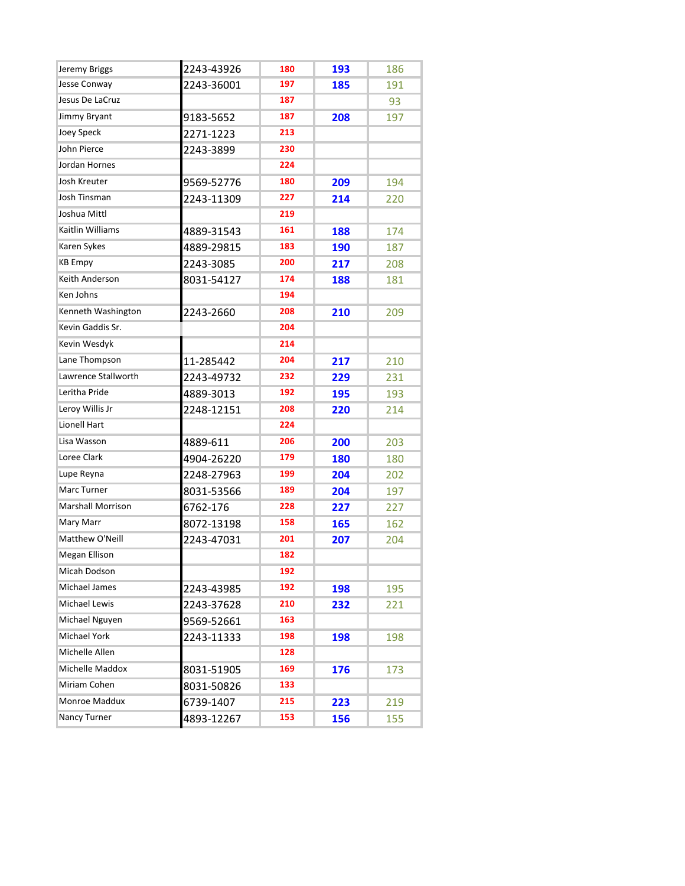| Jeremy Briggs            | 2243-43926 | 180 | 193 | 186 |
|--------------------------|------------|-----|-----|-----|
| Jesse Conway             | 2243-36001 | 197 | 185 | 191 |
| Jesus De LaCruz          |            | 187 |     | 93  |
| Jimmy Bryant             | 9183-5652  | 187 | 208 | 197 |
| Joey Speck               | 2271-1223  | 213 |     |     |
| John Pierce              | 2243-3899  | 230 |     |     |
| Jordan Hornes            |            | 224 |     |     |
| Josh Kreuter             | 9569-52776 | 180 | 209 | 194 |
| Josh Tinsman             | 2243-11309 | 227 | 214 | 220 |
| Joshua Mittl             |            | 219 |     |     |
| Kaitlin Williams         | 4889-31543 | 161 | 188 | 174 |
| Karen Sykes              | 4889-29815 | 183 | 190 | 187 |
| <b>KB Empy</b>           | 2243-3085  | 200 | 217 | 208 |
| Keith Anderson           | 8031-54127 | 174 | 188 | 181 |
| Ken Johns                |            | 194 |     |     |
| Kenneth Washington       | 2243-2660  | 208 | 210 | 209 |
| Kevin Gaddis Sr.         |            | 204 |     |     |
| Kevin Wesdyk             |            | 214 |     |     |
| Lane Thompson            | 11-285442  | 204 | 217 | 210 |
| Lawrence Stallworth      | 2243-49732 | 232 | 229 | 231 |
| Leritha Pride            | 4889-3013  | 192 | 195 | 193 |
| Leroy Willis Jr          | 2248-12151 | 208 | 220 | 214 |
| Lionell Hart             |            | 224 |     |     |
| Lisa Wasson              | 4889-611   | 206 | 200 | 203 |
| Loree Clark              | 4904-26220 | 179 | 180 | 180 |
| Lupe Reyna               | 2248-27963 | 199 | 204 | 202 |
| Marc Turner              | 8031-53566 | 189 | 204 | 197 |
| <b>Marshall Morrison</b> | 6762-176   | 228 | 227 | 227 |
| Mary Marr                | 8072-13198 | 158 | 165 | 162 |
| Matthew O'Neill          | 2243-47031 | 201 | 207 | 204 |
| <b>Megan Ellison</b>     |            | 182 |     |     |
| Micah Dodson             |            | 192 |     |     |
| Michael James            | 2243-43985 | 192 | 198 | 195 |
| Michael Lewis            | 2243-37628 | 210 | 232 | 221 |
| Michael Nguyen           | 9569-52661 | 163 |     |     |
| Michael York             | 2243-11333 | 198 | 198 | 198 |
| Michelle Allen           |            | 128 |     |     |
| Michelle Maddox          | 8031-51905 | 169 | 176 | 173 |
| Miriam Cohen             | 8031-50826 | 133 |     |     |
| Monroe Maddux            | 6739-1407  | 215 | 223 | 219 |
| <b>Nancy Turner</b>      | 4893-12267 | 153 | 156 | 155 |